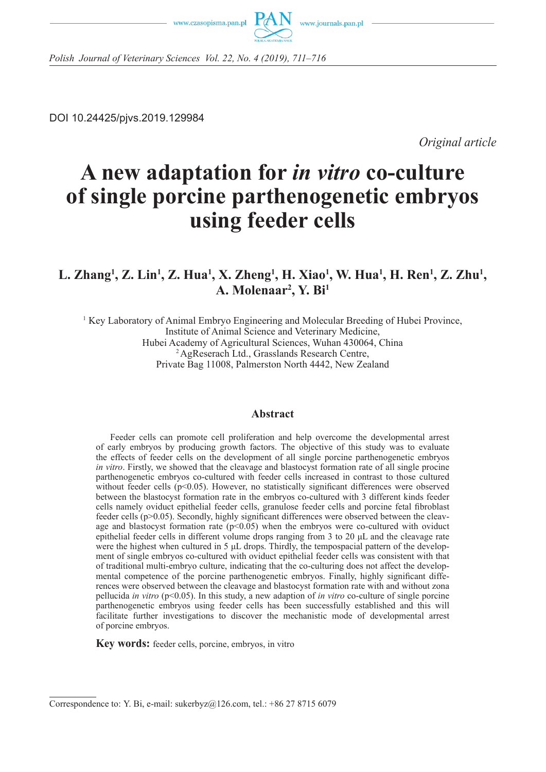



*Polish Journal of Veterinary Sciences Vol. 22, No. 4 (2019), 711–716*

DOI 10.24425/pjvs.2019.129984

*Original article*

# **A new adaptation for** *in vitro* **co-culture of single porcine parthenogenetic embryos using feeder cells**

## **L. Zhang<sup>1</sup>, Z. Lin<sup>1</sup>, Z. Hua<sup>1</sup>, X. Zheng<sup>1</sup>, H. Xiao<sup>1</sup>, W. Hua<sup>1</sup>, H. Ren<sup>1</sup>, Z. Zhu<sup>1</sup>, A. Molenaar2 , Y. Bi1**

<sup>1</sup> Key Laboratory of Animal Embryo Engineering and Molecular Breeding of Hubei Province, Institute of Animal Science and Veterinary Medicine, Hubei Academy of Agricultural Sciences, Wuhan 430064, China 2 AgReserach Ltd., Grasslands Research Centre, Private Bag 11008, Palmerston North 4442, New Zealand

#### **Abstract**

Feeder cells can promote cell proliferation and help overcome the developmental arrest of early embryos by producing growth factors. The objective of this study was to evaluate the effects of feeder cells on the development of all single porcine parthenogenetic embryos *in vitro*. Firstly, we showed that the cleavage and blastocyst formation rate of all single procine parthenogenetic embryos co-cultured with feeder cells increased in contrast to those cultured without feeder cells (p<0.05). However, no statistically significant differences were observed between the blastocyst formation rate in the embryos co-cultured with 3 different kinds feeder cells namely oviduct epithelial feeder cells, granulose feeder cells and porcine fetal fibroblast feeder cells (p>0.05). Secondly, highly significant differences were observed between the cleavage and blastocyst formation rate  $(p<0.05)$  when the embryos were co-cultured with oviduct epithelial feeder cells in different volume drops ranging from 3 to 20 μL and the cleavage rate were the highest when cultured in 5 μL drops. Thirdly, the tempospacial pattern of the development of single embryos co-cultured with oviduct epithelial feeder cells was consistent with that of traditional multi-embryo culture, indicating that the co-culturing does not affect the developmental competence of the porcine parthenogenetic embryos. Finally, highly significant differences were observed between the cleavage and blastocyst formation rate with and without zona pellucida *in vitro* (p<0.05). In this study, a new adaption of *in vitro* co-culture of single porcine parthenogenetic embryos using feeder cells has been successfully established and this will facilitate further investigations to discover the mechanistic mode of developmental arrest of porcine embryos.

**Key words:** feeder cells, porcine, embryos, in vitro

Correspondence to: Y. Bi, e-mail: sukerbyz $@126$ .com, tel.: +86 27 8715 6079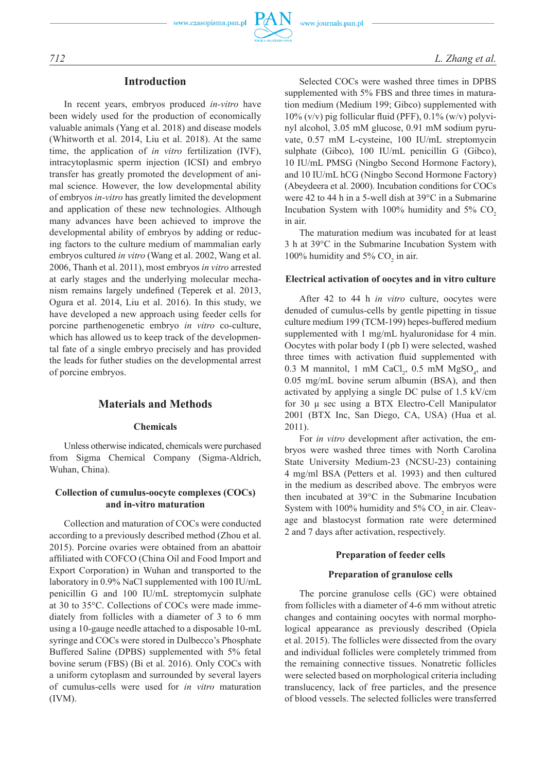#### **Introduction**

In recent years, embryos produced *in-vitro* have been widely used for the production of economically valuable animals (Yang et al. 2018) and disease models (Whitworth et al. 2014, Liu et al. 2018). At the same time, the application of *in vitro* fertilization (IVF), intracytoplasmic sperm injection (ICSI) and embryo transfer has greatly promoted the development of animal science. However, the low developmental ability of embryos *in-vitro* has greatly limited the development and application of these new technologies. Although many advances have been achieved to improve the developmental ability of embryos by adding or reducing factors to the culture medium of mammalian early embryos cultured *in vitro* (Wang et al. 2002, Wang et al. 2006, Thanh et al. 2011), most embryos *in vitro* arrested at early stages and the underlying molecular mechanism remains largely undefined (Teperek et al. 2013, Ogura et al. 2014, Liu et al. 2016). In this study, we have developed a new approach using feeder cells for porcine parthenogenetic embryo *in vitro* co-culture, which has allowed us to keep track of the developmental fate of a single embryo precisely and has provided the leads for futher studies on the developmental arrest of porcine embryos.

#### **Materials and Methods**

#### **Chemicals**

Unless otherwise indicated, chemicals were purchased from Sigma Chemical Company (Sigma-Aldrich, Wuhan, China).

#### **Collection of cumulus-oocyte complexes (COCs) and in-vitro maturation**

Collection and maturation of COCs were conducted according to a previously described method (Zhou et al. 2015). Porcine ovaries were obtained from an abattoir affiliated with COFCO (China Oil and Food Import and Export Corporation) in Wuhan and transported to the laboratory in 0.9% NaCl supplemented with 100 IU/mL penicillin G and 100 IU/mL streptomycin sulphate at 30 to 35°C. Collections of COCs were made immediately from follicles with a diameter of 3 to 6 mm using a 10-gauge needle attached to a disposable 10-mL syringe and COCs were stored in Dulbecco's Phosphate Buffered Saline (DPBS) supplemented with 5% fetal bovine serum (FBS) (Bi et al. 2016). Only COCs with a uniform cytoplasm and surrounded by several layers of cumulus-cells were used for *in vitro* maturation (IVM).

Selected COCs were washed three times in DPBS supplemented with 5% FBS and three times in maturation medium (Medium 199; Gibco) supplemented with 10% (v/v) pig follicular fluid (PFF), 0.1% (w/v) polyvinyl alcohol, 3.05 mM glucose, 0.91 mM sodium pyruvate, 0.57 mM L-cysteine, 100 IU/mL streptomycin sulphate (Gibco), 100 IU/mL penicillin G (Gibco), 10 IU/mL PMSG (Ningbo Second Hormone Factory), and 10 IU/mL hCG (Ningbo Second Hormone Factory) (Abeydeera et al. 2000). Incubation conditions for COCs were 42 to 44 h in a 5-well dish at 39°C in a Submarine Incubation System with  $100\%$  humidity and 5% CO<sub>2</sub> in air.

The maturation medium was incubated for at least 3 h at 39°C in the Submarine Incubation System with 100% humidity and 5%  $CO<sub>2</sub>$  in air.

#### **Electrical activation of oocytes and in vitro culture**

After 42 to 44 h *in vitro* culture, oocytes were denuded of cumulus-cells by gentle pipetting in tissue culture medium 199 (TCM-199) hepes-buffered medium supplemented with 1 mg/mL hyaluronidase for 4 min. Oocytes with polar body I (pb I) were selected, washed three times with activation fluid supplemented with 0.3 M mannitol, 1 mM CaCl<sub>2</sub>, 0.5 mM MgSO<sub>4</sub>, and 0.05 mg/mL bovine serum albumin (BSA), and then activated by applying a single DC pulse of 1.5 kV/cm for 30 μ sec using a BTX Electro-Cell Manipulator 2001 (BTX Inc, San Diego, CA, USA) (Hua et al. 2011).

For *in vitro* development after activation, the embryos were washed three times with North Carolina State University Medium-23 (NCSU-23) containing 4 mg/ml BSA (Petters et al. 1993) and then cultured in the medium as described above. The embryos were then incubated at 39°C in the Submarine Incubation System with 100% humidity and  $5\%$  CO<sub>2</sub> in air. Cleavage and blastocyst formation rate were determined 2 and 7 days after activation, respectively.

#### **Preparation of feeder cells**

#### **Preparation of granulose cells**

The porcine granulose cells (GC) were obtained from follicles with a diameter of 4-6 mm without atretic changes and containing oocytes with normal morphological appearance as previously described (Opiela et al. 2015). The follicles were dissected from the ovary and individual follicles were completely trimmed from the remaining connective tissues. Nonatretic follicles were selected based on morphological criteria including translucency, lack of free particles, and the presence of blood vessels. The selected follicles were transferred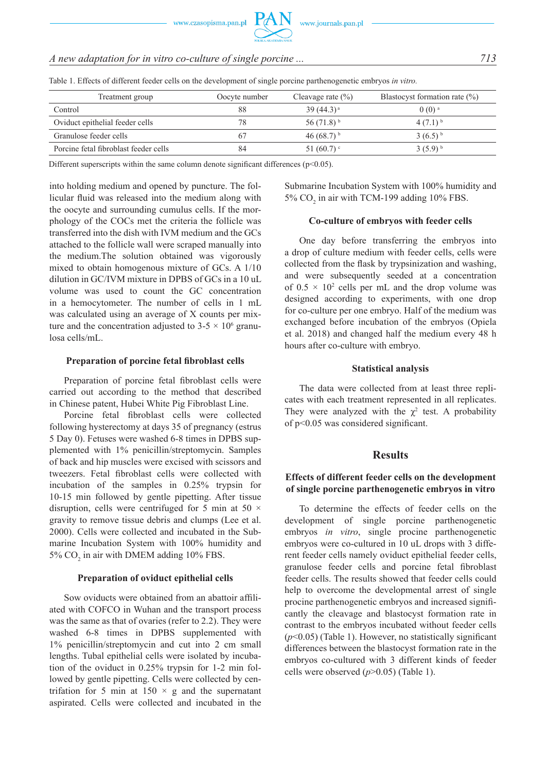### *A new adaptation for in vitro co-culture of single porcine ... 713*

| Treatment group                       | Oocyte number | Cleavage rate $(\% )$    | Blastocyst formation rate $(\% )$ |
|---------------------------------------|---------------|--------------------------|-----------------------------------|
| Control                               | 88            | $39(44.3)^a$             | $0(0)$ <sup>a</sup>               |
| Oviduct epithelial feeder cells       | 78            | $56(71.8)^{b}$           | $4(7.1)^{b}$                      |
| Granulose feeder cells                | 67            | 46 $(68.7)$ <sup>b</sup> | $3(6.5)^{b}$                      |
| Porcine fetal fibroblast feeder cells | 84            | 51 $(60.7)$ °            | $3(5.9)^{b}$                      |

Table 1. Effects of different feeder cells on the development of single porcine parthenogenetic embryos *in vitro.*

Different superscripts within the same column denote significant differences ( $p<0.05$ ).

into holding medium and opened by puncture. The follicular fluid was released into the medium along with the oocyte and surrounding cumulus cells. If the morphology of the COCs met the criteria the follicle was transferred into the dish with IVM medium and the GCs attached to the follicle wall were scraped manually into the medium.The solution obtained was vigorously mixed to obtain homogenous mixture of GCs. A 1/10 dilution in GC/IVM mixture in DPBS of GCs in a 10 uL volume was used to count the GC concentration in a hemocytometer. The number of cells in 1 mL was calculated using an average of X counts per mixture and the concentration adjusted to  $3-5 \times 10^6$  granulosa cells/mL.

#### **Preparation of porcine fetal fibroblast cells**

Preparation of porcine fetal fibroblast cells were carried out according to the method that described in Chinese patent, Hubei White Pig Fibroblast Line.

Porcine fetal fibroblast cells were collected following hysterectomy at days 35 of pregnancy (estrus 5 Day 0). Fetuses were washed 6-8 times in DPBS supplemented with 1% penicillin/streptomycin. Samples of back and hip muscles were excised with scissors and tweezers. Fetal fibroblast cells were collected with incubation of the samples in 0.25% trypsin for 10-15 min followed by gentle pipetting. After tissue disruption, cells were centrifuged for 5 min at 50  $\times$ gravity to remove tissue debris and clumps (Lee et al. 2000). Cells were collected and incubated in the Submarine Incubation System with 100% humidity and 5%  $CO<sub>2</sub>$  in air with DMEM adding 10% FBS.

#### **Preparation of oviduct epithelial cells**

Sow oviducts were obtained from an abattoir affiliated with COFCO in Wuhan and the transport process was the same as that of ovaries (refer to 2.2). They were washed 6-8 times in DPBS supplemented with 1% penicillin/streptomycin and cut into 2 cm small lengths. Tubal epithelial cells were isolated by incubation of the oviduct in 0.25% trypsin for 1-2 min followed by gentle pipetting. Cells were collected by centrifation for 5 min at  $150 \times g$  and the supernatant aspirated. Cells were collected and incubated in the Submarine Incubation System with 100% humidity and 5%  $CO<sub>2</sub>$  in air with TCM-199 adding 10% FBS.

#### **Co-culture of embryos with feeder cells**

One day before transferring the embryos into a drop of culture medium with feeder cells, cells were collected from the flask by trypsinization and washing, and were subsequently seeded at a concentration of  $0.5 \times 10^2$  cells per mL and the drop volume was designed according to experiments, with one drop for co-culture per one embryo. Half of the medium was exchanged before incubation of the embryos (Opiela et al. 2018) and changed half the medium every 48 h hours after co-culture with embryo.

#### **Statistical analysis**

The data were collected from at least three replicates with each treatment represented in all replicates. They were analyzed with the  $\chi^2$  test. A probability of p<0.05 was considered significant.

#### **Results**

#### **Effects of different feeder cells on the development of single porcine parthenogenetic embryos in vitro**

To determine the effects of feeder cells on the development of single porcine parthenogenetic embryos *in vitro*, single procine parthenogenetic embryos were co-cultured in 10 uL drops with 3 different feeder cells namely oviduct epithelial feeder cells, granulose feeder cells and porcine fetal fibroblast feeder cells. The results showed that feeder cells could help to overcome the developmental arrest of single procine parthenogenetic embryos and increased significantly the cleavage and blastocyst formation rate in contrast to the embryos incubated without feeder cells (*p*<0.05) (Table 1). However, no statistically significant differences between the blastocyst formation rate in the embryos co-cultured with 3 different kinds of feeder cells were observed (*p*>0.05) (Table 1).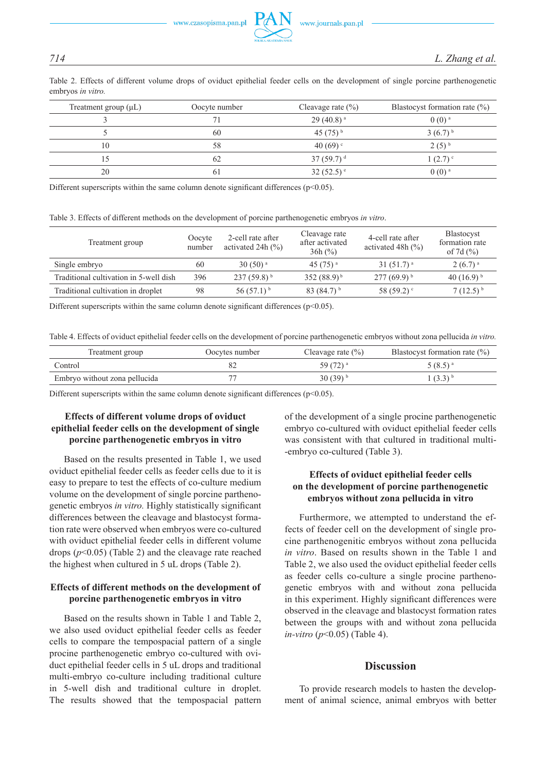Table 2. Effects of different volume drops of oviduct epithelial feeder cells on the development of single porcine parthenogenetic embryos *in vitro.*

| Treatment group $(\mu L)$ | Oocyte number | Cleavage rate $(\% )$   | Blastocyst formation rate $(\%)$ |
|---------------------------|---------------|-------------------------|----------------------------------|
|                           |               | $29(40.8)$ <sup>a</sup> | $0(0)$ <sup>a</sup>              |
|                           | 60            | 45 $(75)^{b}$           | $3(6.7)^{b}$                     |
| 10                        | 58            | 40 (69) $\degree$       | $2(5)$ <sup>b</sup>              |
|                           | 62            | 37 (59.7) $^{\rm d}$    | $1(2.7)$ °                       |
| 20                        | 6 I           | $32(52.5)$ <sup>e</sup> | $0(0)$ <sup>a</sup>              |

Different superscripts within the same column denote significant differences ( $p<0.05$ ).

Table 3. Effects of different methods on the development of porcine parthenogenetic embryos *in vitro*.

| Treatment group                        | Oocyte<br>number | 2-cell rate after<br>activated 24h $(\% )$ | Cleavage rate<br>after activated<br>$36h$ (%) | 4-cell rate after<br>activated 48h $(\% )$ | <b>Blastocyst</b><br>formation rate<br>of 7d $(%$ |
|----------------------------------------|------------------|--------------------------------------------|-----------------------------------------------|--------------------------------------------|---------------------------------------------------|
| Single embryo                          | 60               | $30(50)$ <sup>a</sup>                      | 45 $(75)^{a}$                                 | $31(51.7)$ <sup>a</sup>                    | $2(6.7)$ <sup>a</sup>                             |
| Traditional cultivation in 5-well dish | 396              | $237(59.8)^{b}$                            | $352(88.9)^{b}$                               | $277(69.9)^{b}$                            | 40 $(16.9)^{b}$                                   |
| Traditional cultivation in droplet     | 98               | $56(57.1)^{b}$                             | 83 $(84.7)^{b}$                               | 58 $(59.2)$                                | $7(12.5)^{b}$                                     |

Different superscripts within the same column denote significant differences ( $p<0.05$ ).

Table 4. Effects of oviduct epithelial feeder cells on the development of porcine parthenogenetic embryos without zona pellucida *in vitro.*

| Treatment group               | Oocytes number | Cleavage rate $(\% )$  | Blastocyst formation rate $(\%)$ |
|-------------------------------|----------------|------------------------|----------------------------------|
| Control                       |                | 59 $(72)$ <sup>a</sup> | 5 (8.5) <sup>a</sup>             |
| Embryo without zona pellucida |                | $30(39)$ <sup>b</sup>  | $(3.3)^{b}$                      |

Different superscripts within the same column denote significant differences ( $p$ <0.05).

#### **Effects of different volume drops of oviduct epithelial feeder cells on the development of single porcine parthenogenetic embryos in vitro**

Based on the results presented in Table 1, we used oviduct epithelial feeder cells as feeder cells due to it is easy to prepare to test the effects of co-culture medium volume on the development of single porcine parthenogenetic embryos *in vitro.* Highly statistically significant differences between the cleavage and blastocyst formation rate were observed when embryos were co-cultured with oviduct epithelial feeder cells in different volume drops (*p*<0.05) (Table 2) and the cleavage rate reached the highest when cultured in 5 uL drops (Table 2).

#### **Effects of different methods on the development of porcine parthenogenetic embryos in vitro**

Based on the results shown in Table 1 and Table 2, we also used oviduct epithelial feeder cells as feeder cells to compare the tempospacial pattern of a single procine parthenogenetic embryo co-cultured with oviduct epithelial feeder cells in 5 uL drops and traditional multi-embryo co-culture including traditional culture in 5-well dish and traditional culture in droplet. The results showed that the tempospacial pattern of the development of a single procine parthenogenetic embryo co-cultured with oviduct epithelial feeder cells was consistent with that cultured in traditional multi- -embryo co-cultured (Table 3).

#### **Effects of oviduct epithelial feeder cells on the development of porcine parthenogenetic embryos without zona pellucida in vitro**

Furthermore, we attempted to understand the effects of feeder cell on the development of single procine parthenogenitic embryos without zona pellucida *in vitro*. Based on results shown in the Table 1 and Table 2, we also used the oviduct epithelial feeder cells as feeder cells co-culture a single procine parthenogenetic embryos with and without zona pellucida in this experiment. Highly significant differences were observed in the cleavage and blastocyst formation rates between the groups with and without zona pellucida *in-vitro* (*p*<0.05) (Table 4).

#### **Discussion**

To provide research models to hasten the development of animal science, animal embryos with better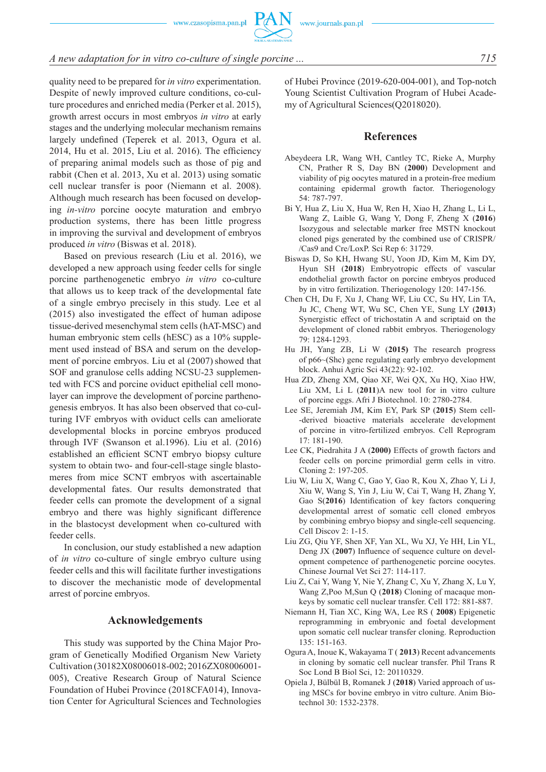### *A new adaptation for in vitro co-culture of single porcine ... 715*

quality need to be prepared for *in vitro* experimentation. Despite of newly improved culture conditions, co-culture procedures and enriched media (Perker et al. 2015), growth arrest occurs in most embryos *in vitro* at early stages and the underlying molecular mechanism remains largely undefined (Teperek et al. 2013, Ogura et al. 2014, Hu et al. 2015, Liu et al. 2016). The efficiency of preparing animal models such as those of pig and rabbit (Chen et al. 2013, Xu et al. 2013) using somatic cell nuclear transfer is poor (Niemann et al. 2008). Although much research has been focused on developing *in-vitro* porcine oocyte maturation and embryo production systems, there has been little progress in improving the survival and development of embryos produced *in vitro* (Biswas et al. 2018).

Based on previous research (Liu et al. 2016), we developed a new approach using feeder cells for single porcine parthenogenetic embryo *in vitro* co-culture that allows us to keep track of the developmental fate of a single embryo precisely in this study. Lee et al (2015) also investigated the effect of human adipose tissue-derived mesenchymal stem cells (hAT-MSC) and human embryonic stem cells (hESC) as a 10% supplement used instead of BSA and serum on the development of porcine embryos. Liu et al (2007) showed that SOF and granulose cells adding NCSU-23 supplemented with FCS and porcine oviduct epithelial cell monolayer can improve the development of porcine parthenogenesis embryos. It has also been observed that co-culturing IVF embryos with oviduct cells can ameliorate developmental blocks in porcine embryos produced through IVF (Swanson et al.1996). Liu et al. (2016) established an efficient SCNT embryo biopsy culture system to obtain two- and four-cell-stage single blastomeres from mice SCNT embryos with ascertainable developmental fates. Our results demonstrated that feeder cells can promote the development of a signal embryo and there was highly significant difference in the blastocyst development when co-cultured with feeder cells.

In conclusion, our study established a new adaption of *in vitro* co-culture of single embryo culture using feeder cells and this will facilitate further investigations to discover the mechanistic mode of developmental arrest of porcine embryos.

#### **Acknowledgements**

This study was supported by the China Major Program of Genetically Modified Organism New Variety Cultivation (30182X08006018-002; 2016ZX08006001- 005), Creative Research Group of Natural Science Foundation of Hubei Province (2018CFA014), Innovation Center for Agricultural Sciences and Technologies of Hubei Province (2019-620-004-001), and Top-notch Young Scientist Cultivation Program of Hubei Academy of Agricultural Sciences(Q2018020).

#### **References**

- Abeydeera LR, Wang WH, Cantley TC, Rieke A, Murphy CN, Prather R S, Day BN (**2000**) Development and viability of pig oocytes matured in a protein-free medium containing epidermal growth factor. Theriogenology 54: 787-797.
- Bi Y, Hua Z, Liu X, Hua W, Ren H, Xiao H, Zhang L, Li L, Wang Z, Laible G, Wang Y, Dong F, Zheng X (**2016**) Isozygous and selectable marker free MSTN knockout cloned pigs generated by the combined use of CRISPR/ /Cas9 and Cre/LoxP. Sci Rep 6: 31729.
- Biswas D, So KH, Hwang SU, Yoon JD, Kim M, Kim DY, Hyun SH (**2018**) Embryotropic effects of vascular endothelial growth factor on porcine embryos produced by in vitro fertilization. Theriogenology 120: 147-156.
- Chen CH, Du F, Xu J, Chang WF, Liu CC, Su HY, Lin TA, Ju JC, Cheng WT, Wu SC, Chen YE, Sung LY (**2013**) Synergistic effect of trichostatin A and scriptaid on the development of cloned rabbit embryos. Theriogenology 79: 1284-1293.
- Hu JH, Yang ZB, Li W (**2015)** The research progress of p66~(Shc) gene regulating early embryo development block. Anhui Agric Sci 43(22): 92-102.
- Hua ZD, Zheng XM, Qiao XF, Wei QX, Xu HQ, Xiao HW, Liu XM, Li L (**2011**)A new tool for in vitro culture of porcine eggs. Afri J Biotechnol. 10: 2780-2784.
- Lee SE, Jeremiah JM, Kim EY, Park SP (**2015**) Stem cell- -derived bioactive materials accelerate development of porcine in vitro-fertilized embryos. Cell Reprogram  $17 \cdot 181 - 190$
- Lee CK, Piedrahita J A (**2000)** Effects of growth factors and feeder cells on porcine primordial germ cells in vitro. Cloning 2: 197-205.
- Liu W, Liu X, Wang C, Gao Y, Gao R, Kou X, Zhao Y, Li J, Xiu W, Wang S, Yin J, Liu W, Cai T, Wang H, Zhang Y, Gao S(**2016**) Identification of key factors conquering developmental arrest of somatic cell cloned embryos by combining embryo biopsy and single-cell sequencing. Cell Discov 2: 1-15.
- Liu ZG, Qiu YF, Shen XF, Yan XL, Wu XJ, Ye HH, Lin YL, Deng JX (**2007**) Influence of sequence culture on development competence of parthenogenetic porcine oocytes. Chinese Journal Vet Sci 27: 114-117.
- Liu Z, Cai Y, Wang Y, Nie Y, Zhang C, Xu Y, Zhang X, Lu Y, Wang Z,Poo M,Sun Q (**2018**) Cloning of macaque monkeys by somatic cell nuclear transfer. Cell 172: 881-887.
- Niemann H, Tian XC, King WA, Lee RS ( **2008**) Epigenetic reprogramming in embryonic and foetal development upon somatic cell nuclear transfer cloning. Reproduction 135: 151-163.
- Ogura A, Inoue K, Wakayama T ( **2013**) Recent advancements in cloning by somatic cell nuclear transfer. Phil Trans R Soc Lond B Biol Sci, 12: 20110329.
- Opiela J, Bülbül B, Romanek J (**2018**) Varied approach of using MSCs for bovine embryo in vitro culture. Anim Biotechnol 30: 1532-2378.